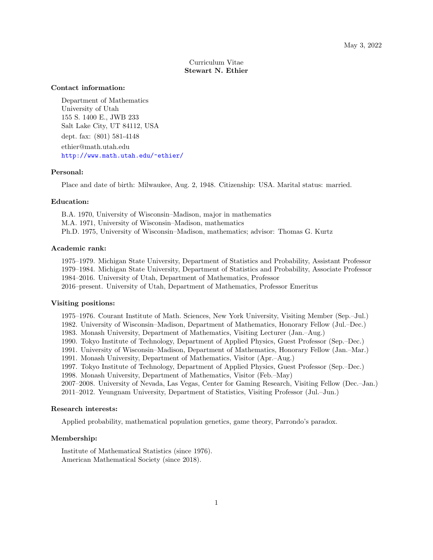# Curriculum Vitae Stewart N. Ethier

#### Contact information:

Department of Mathematics University of Utah 155 S. 1400 E., JWB 233 Salt Lake City, UT 84112, USA dept. fax: (801) 581-4148 ethier@math.utah.edu <http://www.math.utah.edu/~ethier/>

#### Personal:

Place and date of birth: Milwaukee, Aug. 2, 1948. Citizenship: USA. Marital status: married.

## Education:

B.A. 1970, University of Wisconsin–Madison, major in mathematics M.A. 1971, University of Wisconsin–Madison, mathematics Ph.D. 1975, University of Wisconsin–Madison, mathematics; advisor: Thomas G. Kurtz

### Academic rank:

1975–1979. Michigan State University, Department of Statistics and Probability, Assistant Professor 1979–1984. Michigan State University, Department of Statistics and Probability, Associate Professor 1984–2016. University of Utah, Department of Mathematics, Professor 2016–present. University of Utah, Department of Mathematics, Professor Emeritus

## Visiting positions:

- 1975–1976. Courant Institute of Math. Sciences, New York University, Visiting Member (Sep.–Jul.)
- 1982. University of Wisconsin–Madison, Department of Mathematics, Honorary Fellow (Jul.–Dec.)
- 1983. Monash University, Department of Mathematics, Visiting Lecturer (Jan.–Aug.)
- 1990. Tokyo Institute of Technology, Department of Applied Physics, Guest Professor (Sep.–Dec.)
- 1991. University of Wisconsin–Madison, Department of Mathematics, Honorary Fellow (Jan.–Mar.)
- 1991. Monash University, Department of Mathematics, Visitor (Apr.–Aug.)
- 1997. Tokyo Institute of Technology, Department of Applied Physics, Guest Professor (Sep.–Dec.)
- 1998. Monash University, Department of Mathematics, Visitor (Feb.–May)
- 2007–2008. University of Nevada, Las Vegas, Center for Gaming Research, Visiting Fellow (Dec.–Jan.) 2011–2012. Yeungnam University, Department of Statistics, Visiting Professor (Jul.–Jun.)

#### Research interests:

Applied probability, mathematical population genetics, game theory, Parrondo's paradox.

### Membership:

Institute of Mathematical Statistics (since 1976). American Mathematical Society (since 2018).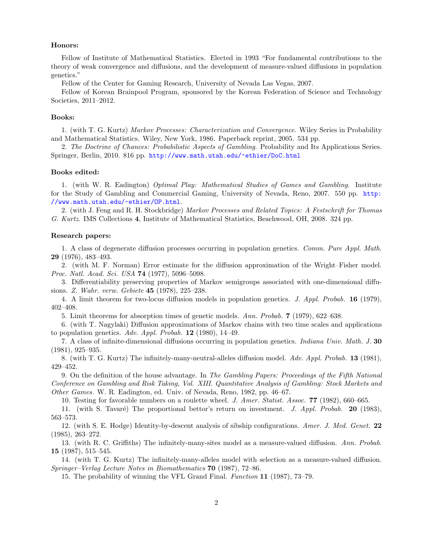### Honors:

Fellow of Institute of Mathematical Statistics. Elected in 1993 "For fundamental contributions to the theory of weak convergence and diffusions, and the development of measure-valued diffusions in population genetics."

Fellow of the Center for Gaming Research, University of Nevada Las Vegas, 2007.

Fellow of Korean Brainpool Program, sponsored by the Korean Federation of Science and Technology Societies, 2011–2012.

#### Books:

1. (with T. G. Kurtz) Markov Processes: Characterization and Convergence. Wiley Series in Probability and Mathematical Statistics. Wiley, New York, 1986. Paperback reprint, 2005. 534 pp.

2. The Doctrine of Chances: Probabilistic Aspects of Gambling. Probability and Its Applications Series. Springer, Berlin, 2010. 816 pp. <http://www.math.utah.edu/~ethier/DoC.html>

#### Books edited:

1. (with W. R. Eadington) Optimal Play: Mathematical Studies of Games and Gambling. Institute for the Study of Gambling and Commercial Gaming, University of Nevada, Reno, 2007. 550 pp. [http:](http://www.math.utah.edu/~ethier/OP.html) [//www.math.utah.edu/~ethier/OP.html](http://www.math.utah.edu/~ethier/OP.html).

2. (with J. Feng and R. H. Stockbridge) Markov Processes and Related Topics: A Festschrift for Thomas G. Kurtz. IMS Collections 4, Institute of Mathematical Statistics, Beachwood, OH, 2008. 324 pp.

#### Research papers:

1. A class of degenerate diffusion processes occurring in population genetics. Comm. Pure Appl. Math. 29 (1976), 483–493.

2. (with M. F. Norman) Error estimate for the diffusion approximation of the Wright–Fisher model. Proc. Natl. Acad. Sci. USA 74 (1977), 5096–5098.

3. Differentiability preserving properties of Markov semigroups associated with one-dimensional diffusions. Z. Wahr. verw. Gebiete 45 (1978), 225–238.

4. A limit theorem for two-locus diffusion models in population genetics. J. Appl. Probab. 16 (1979), 402–408.

5. Limit theorems for absorption times of genetic models. Ann. Probab. 7 (1979), 622–638.

6. (with T. Nagylaki) Diffusion approximations of Markov chains with two time scales and applications to population genetics. Adv. Appl. Probab.  $12$  (1980), 14–49.

7. A class of infinite-dimensional diffusions occurring in population genetics. Indiana Univ. Math. J. 30 (1981), 925–935.

8. (with T. G. Kurtz) The infinitely-many-neutral-alleles diffusion model. Adv. Appl. Probab. 13 (1981), 429–452.

9. On the definition of the house advantage. In The Gambling Papers: Proceedings of the Fifth National Conference on Gambling and Risk Taking, Vol. XIII. Quantitative Analysis of Gambling: Stock Markets and Other Games. W. R. Eadington, ed. Univ. of Nevada, Reno, 1982, pp. 46–67.

10. Testing for favorable numbers on a roulette wheel. J. Amer. Statist. Assoc. 77 (1982), 660–665.

11. (with S. Tavar´e) The proportional bettor's return on investment. J. Appl. Probab. 20 (1983), 563–573.

12. (with S. E. Hodge) Identity-by-descent analysis of sibship configurations. Amer. J. Med. Genet. 22 (1985), 263–272.

13. (with R. C. Griffiths) The infinitely-many-sites model as a measure-valued diffusion. Ann. Probab. 15 (1987), 515–545.

14. (with T. G. Kurtz) The infinitely-many-alleles model with selection as a measure-valued diffusion. Springer–Verlag Lecture Notes in Biomathematics 70 (1987), 72–86.

15. The probability of winning the VFL Grand Final. Function 11 (1987), 73–79.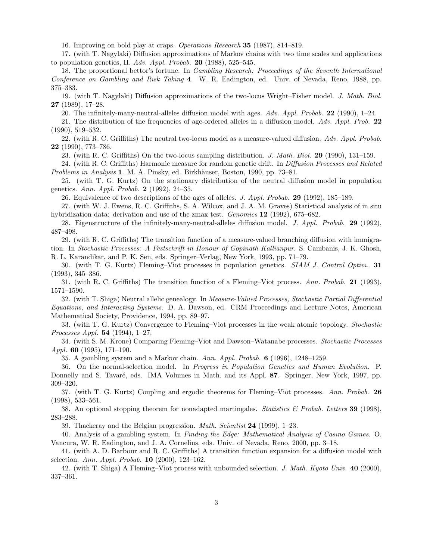16. Improving on bold play at craps. Operations Research 35 (1987), 814–819.

17. (with T. Nagylaki) Diffusion approximations of Markov chains with two time scales and applications to population genetics, II. Adv. Appl. Probab. 20 (1988), 525–545.

18. The proportional bettor's fortune. In Gambling Research: Proceedings of the Seventh International Conference on Gambling and Risk Taking 4. W. R. Eadington, ed. Univ. of Nevada, Reno, 1988, pp. 375–383.

19. (with T. Nagylaki) Diffusion approximations of the two-locus Wright–Fisher model. J. Math. Biol. 27 (1989), 17–28.

20. The infinitely-many-neutral-alleles diffusion model with ages. Adv. Appl. Probab. 22 (1990), 1–24.

21. The distribution of the frequencies of age-ordered alleles in a diffusion model. Adv. Appl. Prob. 22 (1990), 519–532.

22. (with R. C. Griffiths) The neutral two-locus model as a measure-valued diffusion. Adv. Appl. Probab. 22 (1990), 773–786.

23. (with R. C. Griffiths) On the two-locus sampling distribution. J. Math. Biol. 29 (1990), 131–159.

24. (with R. C. Griffiths) Harmonic measure for random genetic drift. In Diffusion Processes and Related Problems in Analysis 1. M. A. Pinsky, ed. Birkhäuser, Boston, 1990, pp. 73–81.

25. (with T. G. Kurtz) On the stationary distribution of the neutral diffusion model in population genetics. Ann. Appl. Probab. 2 (1992), 24–35.

26. Equivalence of two descriptions of the ages of alleles. J. Appl. Probab. 29 (1992), 185–189.

27. (with W. J. Ewens, R. C. Griffiths, S. A. Wilcox, and J. A. M. Graves) Statistical analysis of in situ hybridization data: derivation and use of the zmax test. *Genomics* 12 (1992), 675–682.

28. Eigenstructure of the infinitely-many-neutral-alleles diffusion model. J. Appl. Probab. 29 (1992), 487–498.

29. (with R. C. Griffiths) The transition function of a measure-valued branching diffusion with immigration. In Stochastic Processes: A Festschrift in Honour of Gopinath Kallianpur. S. Cambanis, J. K. Ghosh, R. L. Karandikar, and P. K. Sen, eds. Springer–Verlag, New York, 1993, pp. 71–79.

30. (with T. G. Kurtz) Fleming–Viot processes in population genetics. SIAM J. Control Optim. 31 (1993), 345–386.

31. (with R. C. Griffiths) The transition function of a Fleming–Viot process. Ann. Probab. 21 (1993), 1571–1590.

32. (with T. Shiga) Neutral allelic genealogy. In Measure-Valued Processes, Stochastic Partial Differential Equations, and Interacting Systems. D. A. Dawson, ed. CRM Proceedings and Lecture Notes, American Mathematical Society, Providence, 1994, pp. 89–97.

33. (with T. G. Kurtz) Convergence to Fleming–Viot processes in the weak atomic topology. Stochastic Processes Appl. 54 (1994), 1–27.

34. (with S. M. Krone) Comparing Fleming–Viot and Dawson–Watanabe processes. Stochastic Processes *Appl.* **60** (1995), 171–190.

35. A gambling system and a Markov chain. Ann. Appl. Probab. 6 (1996), 1248–1259.

36. On the normal-selection model. In Progress in Population Genetics and Human Evolution. P. Donnelly and S. Tavaré, eds. IMA Volumes in Math. and its Appl. 87. Springer, New York, 1997, pp. 309–320.

37. (with T. G. Kurtz) Coupling and ergodic theorems for Fleming–Viot processes. Ann. Probab. 26 (1998), 533–561.

38. An optional stopping theorem for nonadapted martingales. Statistics  $\mathcal{B}$  Probab. Letters 39 (1998), 283–288.

39. Thackeray and the Belgian progression. *Math. Scientist*  $24$  (1999), 1–23.

40. Analysis of a gambling system. In Finding the Edge: Mathematical Analysis of Casino Games. O. Vancura, W. R. Eadington, and J. A. Cornelius, eds. Univ. of Nevada, Reno, 2000, pp. 3–18.

41. (with A. D. Barbour and R. C. Griffiths) A transition function expansion for a diffusion model with selection. Ann. Appl. Probab. 10 (2000), 123–162.

42. (with T. Shiga) A Fleming–Viot process with unbounded selection. J. Math. Kyoto Univ. 40 (2000), 337–361.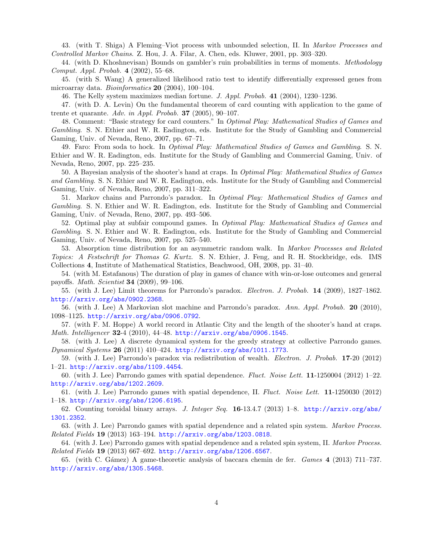43. (with T. Shiga) A Fleming–Viot process with unbounded selection, II. In Markov Processes and Controlled Markov Chains. Z. Hou, J. A. Filar, A. Chen, eds. Kluwer, 2001, pp. 303–320.

44. (with D. Khoshnevisan) Bounds on gambler's ruin probabilities in terms of moments. Methodology Comput. Appl. Probab. 4 (2002), 55–68.

45. (with S. Wang) A generalized likelihood ratio test to identify differentially expressed genes from microarray data. Bioinformatics 20 (2004), 100–104.

46. The Kelly system maximizes median fortune. J. Appl. Probab. 41 (2004), 1230–1236.

47. (with D. A. Levin) On the fundamental theorem of card counting with application to the game of trente et quarante. Adv. in Appl. Probab.  $37$  (2005), 90-107.

48. Comment: "Basic strategy for card counters." In Optimal Play: Mathematical Studies of Games and Gambling. S. N. Ethier and W. R. Eadington, eds. Institute for the Study of Gambling and Commercial Gaming, Univ. of Nevada, Reno, 2007, pp. 67–71.

49. Faro: From soda to hock. In *Optimal Play: Mathematical Studies of Games and Gambling.* S. N. Ethier and W. R. Eadington, eds. Institute for the Study of Gambling and Commercial Gaming, Univ. of Nevada, Reno, 2007, pp. 225–235.

50. A Bayesian analysis of the shooter's hand at craps. In Optimal Play: Mathematical Studies of Games and Gambling. S. N. Ethier and W. R. Eadington, eds. Institute for the Study of Gambling and Commercial Gaming, Univ. of Nevada, Reno, 2007, pp. 311–322.

51. Markov chains and Parrondo's paradox. In Optimal Play: Mathematical Studies of Games and Gambling. S. N. Ethier and W. R. Eadington, eds. Institute for the Study of Gambling and Commercial Gaming, Univ. of Nevada, Reno, 2007, pp. 493–506.

52. Optimal play at subfair compound games. In Optimal Play: Mathematical Studies of Games and Gambling. S. N. Ethier and W. R. Eadington, eds. Institute for the Study of Gambling and Commercial Gaming, Univ. of Nevada, Reno, 2007, pp. 525–540.

53. Absorption time distribution for an asymmetric random walk. In Markov Processes and Related Topics: A Festschrift for Thomas G. Kurtz. S. N. Ethier, J. Feng, and R. H. Stockbridge, eds. IMS Collections 4, Institute of Mathematical Statistics, Beachwood, OH, 2008, pp. 31–40.

54. (with M. Estafanous) The duration of play in games of chance with win-or-lose outcomes and general payoffs. Math. Scientist 34 (2009), 99–106.

55. (with J. Lee) Limit theorems for Parrondo's paradox. Electron. J. Probab. 14 (2009), 1827–1862. <http://arxiv.org/abs/0902.2368>.

56. (with J. Lee) A Markovian slot machine and Parrondo's paradox. Ann. Appl. Probab. 20 (2010), 1098–1125. <http://arxiv.org/abs/0906.0792>.

57. (with F. M. Hoppe) A world record in Atlantic City and the length of the shooter's hand at craps. Math. Intelligencer 32-4 (2010), 44–48. <http://arxiv.org/abs/0906.1545>.

58. (with J. Lee) A discrete dynamical system for the greedy strategy at collective Parrondo games. Dynamical Systems 26 (2011) 410–424. <http://arxiv.org/abs/1011.1773>.

59. (with J. Lee) Parrondo's paradox via redistribution of wealth. Electron. J. Probab. 17-20 (2012) 1–21. <http://arxiv.org/abs/1109.4454>.

60. (with J. Lee) Parrondo games with spatial dependence. Fluct. Noise Lett. 11-1250004 (2012) 1–22. <http://arxiv.org/abs/1202.2609>.

61. (with J. Lee) Parrondo games with spatial dependence, II. Fluct. Noise Lett. 11-1250030 (2012) 1–18. <http://arxiv.org/abs/1206.6195>.

62. Counting toroidal binary arrays. J. Integer Seq. 16-13.4.7 (2013) 1–8. [http://arxiv.org/abs/](http://arxiv.org/abs/1301.2352) [1301.2352](http://arxiv.org/abs/1301.2352).

63. (with J. Lee) Parrondo games with spatial dependence and a related spin system. Markov Process. Related Fields 19 (2013) 163–194. <http://arxiv.org/abs/1203.0818>.

64. (with J. Lee) Parrondo games with spatial dependence and a related spin system, II. Markov Process. Related Fields 19 (2013) 667–692. <http://arxiv.org/abs/1206.6567>.

65. (with C. Gámez) A game-theoretic analysis of baccara chemin de fer. Games 4 (2013) 711-737. <http://arxiv.org/abs/1305.5468>.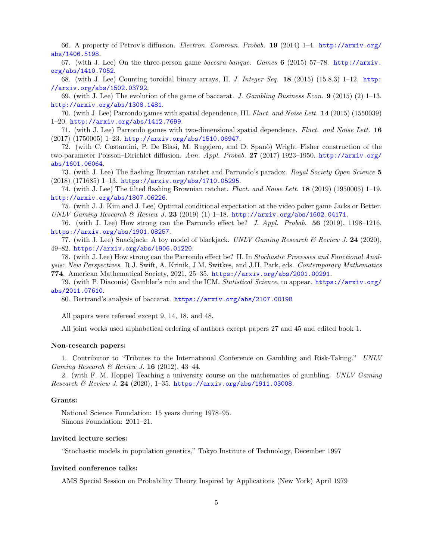66. A property of Petrov's diffusion. Electron. Commun. Probab. 19 (2014) 1–4. [http://arxiv.org/](http://arxiv.org/abs/1406.5198) [abs/1406.5198](http://arxiv.org/abs/1406.5198).

67. (with J. Lee) On the three-person game baccara banque. Games 6 (2015) 57–78. [http://arxiv.](http://arxiv.org/abs/1410.7052) [org/abs/1410.7052](http://arxiv.org/abs/1410.7052).

68. (with J. Lee) Counting toroidal binary arrays, II. J. Integer Seq. 18 (2015) (15.8.3) 1–12. [http:](http://arxiv.org/abs/1502.03792) [//arxiv.org/abs/1502.03792](http://arxiv.org/abs/1502.03792).

69. (with J. Lee) The evolution of the game of baccarat. J. Gambling Business Econ.  $9$  (2015) (2) 1–13. <http://arxiv.org/abs/1308.1481>.

70. (with J. Lee) Parrondo games with spatial dependence, III. Fluct. and Noise Lett. 14 (2015) (1550039) 1–20. <http://arxiv.org/abs/1412.7699>.

71. (with J. Lee) Parrondo games with two-dimensional spatial dependence. Fluct. and Noise Lett. 16 (2017) (1750005) 1–23. <http://arxiv.org/abs/1510.06947>.

72. (with C. Costantini, P. De Blasi, M. Ruggiero, and D. Span`o) Wright–Fisher construction of the two-parameter Poisson–Dirichlet diffusion. Ann. Appl. Probab. 27 (2017) 1923–1950. [http://arxiv.org/](http://arxiv.org/abs/1601.06064) [abs/1601.06064](http://arxiv.org/abs/1601.06064).

73. (with J. Lee) The flashing Brownian ratchet and Parrondo's paradox. Royal Society Open Science 5 (2018) (171685) 1–13. <https://arxiv.org/abs/1710.05295>.

74. (with J. Lee) The tilted flashing Brownian ratchet. Fluct. and Noise Lett. 18 (2019) (1950005) 1–19. <http://arxiv.org/abs/1807.06226>.

75. (with J. J. Kim and J. Lee) Optimal conditional expectation at the video poker game Jacks or Better. UNLV Gaming Research & Review J. 23 (2019) (1) 1–18. <http://arxiv.org/abs/1602.04171>.

76. (with J. Lee) How strong can the Parrondo effect be? J. Appl. Probab. 56 (2019), 1198–1216. <https://arxiv.org/abs/1901.08257>.

77. (with J. Lee) Snackjack: A toy model of blackjack. UNLV Gaming Research & Review J. 24 (2020), 49–82. <https://arxiv.org/abs/1906.01220>.

78. (with J. Lee) How strong can the Parrondo effect be? II. In Stochastic Processes and Functional Analysis: New Perspectives. R.J. Swift, A. Krinik, J.M. Switkes, and J.H. Park, eds. Contemporary Mathematics 774. American Mathematical Society, 2021, 25–35. <https://arxiv.org/abs/2001.00291>.

79. (with P. Diaconis) Gambler's ruin and the ICM. Statistical Science, to appear. [https://arxiv.org/](https://arxiv.org/abs/2011.07610) [abs/2011.07610](https://arxiv.org/abs/2011.07610).

80. Bertrand's analysis of baccarat. <https://arxiv.org/abs/2107.00198>

All papers were refereed except 9, 14, 18, and 48.

All joint works used alphabetical ordering of authors except papers 27 and 45 and edited book 1.

### Non-research papers:

1. Contributor to "Tributes to the International Conference on Gambling and Risk-Taking." UNLV Gaming Research & Review J. 16 (2012), 43-44.

2. (with F. M. Hoppe) Teaching a university course on the mathematics of gambling. UNLV Gaming Research & Review J. 24 (2020), 1–35. <https://arxiv.org/abs/1911.03008>.

#### Grants:

National Science Foundation: 15 years during 1978–95. Simons Foundation: 2011–21.

### Invited lecture series:

"Stochastic models in population genetics," Tokyo Institute of Technology, December 1997

#### Invited conference talks:

AMS Special Session on Probability Theory Inspired by Applications (New York) April 1979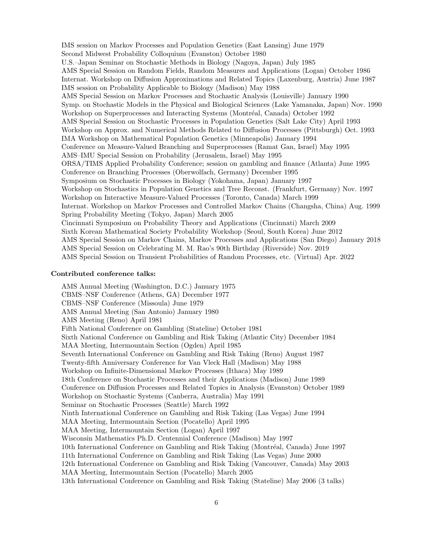IMS session on Markov Processes and Population Genetics (East Lansing) June 1979 Second Midwest Probability Colloquium (Evanston) October 1980 U.S.–Japan Seminar on Stochastic Methods in Biology (Nagoya, Japan) July 1985 AMS Special Session on Random Fields, Random Measures and Applications (Logan) October 1986 Internat. Workshop on Diffusion Approximations and Related Topics (Laxenburg, Austria) June 1987 IMS session on Probability Applicable to Biology (Madison) May 1988 AMS Special Session on Markov Processes and Stochastic Analysis (Louisville) January 1990 Symp. on Stochastic Models in the Physical and Biological Sciences (Lake Yamanaka, Japan) Nov. 1990 Workshop on Superprocesses and Interacting Systems (Montréal, Canada) October 1992 AMS Special Session on Stochastic Processes in Population Genetics (Salt Lake City) April 1993 Workshop on Approx. and Numerical Methods Related to Diffusion Processes (Pittsburgh) Oct. 1993 IMA Workshop on Mathematical Population Genetics (Minneapolis) January 1994 Conference on Measure-Valued Branching and Superprocesses (Ramat Gan, Israel) May 1995 AMS–IMU Special Session on Probability (Jerusalem, Israel) May 1995 ORSA/TIMS Applied Probability Conference; session on gambling and finance (Atlanta) June 1995 Conference on Branching Processes (Oberwolfach, Germany) December 1995 Symposium on Stochastic Processes in Biology (Yokohama, Japan) January 1997 Workshop on Stochastics in Population Genetics and Tree Reconst. (Frankfurt, Germany) Nov. 1997 Workshop on Interactive Measure-Valued Processes (Toronto, Canada) March 1999 Internat. Workshop on Markov Processes and Controlled Markov Chains (Changsha, China) Aug. 1999 Spring Probability Meeting (Tokyo, Japan) March 2005 Cincinnati Symposium on Probability Theory and Applications (Cincinnati) March 2009 Sixth Korean Mathematical Society Probability Workshop (Seoul, South Korea) June 2012 AMS Special Session on Markov Chains, Markov Processes and Applications (San Diego) January 2018 AMS Special Session on Celebrating M. M. Rao's 90th Birthday (Riverside) Nov. 2019 AMS Special Session on Transient Probabilities of Random Processes, etc. (Virtual) Apr. 2022

#### Contributed conference talks:

AMS Annual Meeting (Washington, D.C.) January 1975 CBMS–NSF Conference (Athens, GA) December 1977 CBMS–NSF Conference (Missoula) June 1979 AMS Annual Meeting (San Antonio) January 1980 AMS Meeting (Reno) April 1981 Fifth National Conference on Gambling (Stateline) October 1981 Sixth National Conference on Gambling and Risk Taking (Atlantic City) December 1984 MAA Meeting, Intermountain Section (Ogden) April 1985 Seventh International Conference on Gambling and Risk Taking (Reno) August 1987 Twenty-fifth Anniversary Conference for Van Vleck Hall (Madison) May 1988 Workshop on Infinite-Dimensional Markov Processes (Ithaca) May 1989 18th Conference on Stochastic Processes and their Applications (Madison) June 1989 Conference on Diffusion Processes and Related Topics in Analysis (Evanston) October 1989 Workshop on Stochastic Systems (Canberra, Australia) May 1991 Seminar on Stochastic Processes (Seattle) March 1992 Ninth International Conference on Gambling and Risk Taking (Las Vegas) June 1994 MAA Meeting, Intermountain Section (Pocatello) April 1995 MAA Meeting, Intermountain Section (Logan) April 1997 Wisconsin Mathematics Ph.D. Centennial Conference (Madison) May 1997 10th International Conference on Gambling and Risk Taking (Montréal, Canada) June 1997 11th International Conference on Gambling and Risk Taking (Las Vegas) June 2000 12th International Conference on Gambling and Risk Taking (Vancouver, Canada) May 2003 MAA Meeting, Intermountain Section (Pocatello) March 2005 13th International Conference on Gambling and Risk Taking (Stateline) May 2006 (3 talks)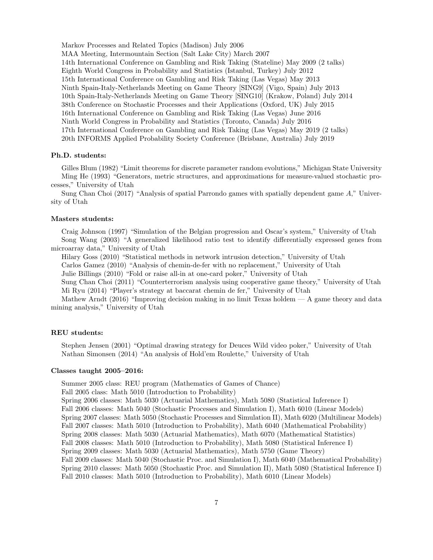Markov Processes and Related Topics (Madison) July 2006 MAA Meeting, Intermountain Section (Salt Lake City) March 2007 14th International Conference on Gambling and Risk Taking (Stateline) May 2009 (2 talks) Eighth World Congress in Probability and Statistics (Istanbul, Turkey) July 2012 15th International Conference on Gambling and Risk Taking (Las Vegas) May 2013 Ninth Spain-Italy-Netherlands Meeting on Game Theory [SING9] (Vigo, Spain) July 2013 10th Spain-Italy-Netherlands Meeting on Game Theory [SING10] (Krakow, Poland) July 2014 38th Conference on Stochastic Processes and their Applications (Oxford, UK) July 2015 16th International Conference on Gambling and Risk Taking (Las Vegas) June 2016 Ninth World Congress in Probability and Statistics (Toronto, Canada) July 2016 17th International Conference on Gambling and Risk Taking (Las Vegas) May 2019 (2 talks) 20th INFORMS Applied Probability Society Conference (Brisbane, Australia) July 2019

## Ph.D. students:

Gilles Blum (1982) "Limit theorems for discrete parameter random evolutions," Michigan State University Ming He (1993) "Generators, metric structures, and approximations for measure-valued stochastic processes," University of Utah

Sung Chan Choi (2017) "Analysis of spatial Parrondo games with spatially dependent game A," University of Utah

#### Masters students:

Craig Johnson (1997) "Simulation of the Belgian progression and Oscar's system," University of Utah Song Wang (2003) "A generalized likelihood ratio test to identify differentially expressed genes from microarray data," University of Utah

Hilary Goss (2010) "Statistical methods in network intrusion detection," University of Utah

Carlos Gamez (2010) "Analysis of chemin-de-fer with no replacement," University of Utah

Julie Billings (2010) "Fold or raise all-in at one-card poker," University of Utah

Sung Chan Choi (2011) "Counterterrorism analysis using cooperative game theory," University of Utah Mi Ryu (2014) "Player's strategy at baccarat chemin de fer," University of Utah

Mathew Arndt (2016) "Improving decision making in no limit Texas holdem  $-A$  game theory and data mining analysis," University of Utah

### REU students:

Stephen Jensen (2001) "Optimal drawing strategy for Deuces Wild video poker," University of Utah Nathan Simonsen (2014) "An analysis of Hold'em Roulette," University of Utah

#### Classes taught 2005–2016:

Summer 2005 class: REU program (Mathematics of Games of Chance)

Fall 2005 class: Math 5010 (Introduction to Probability)

Spring 2006 classes: Math 5030 (Actuarial Mathematics), Math 5080 (Statistical Inference I) Fall 2006 classes: Math 5040 (Stochastic Processes and Simulation I), Math 6010 (Linear Models) Spring 2007 classes: Math 5050 (Stochastic Processes and Simulation II), Math 6020 (Multilinear Models) Fall 2007 classes: Math 5010 (Introduction to Probability), Math 6040 (Mathematical Probability) Spring 2008 classes: Math 5030 (Actuarial Mathematics), Math 6070 (Mathematical Statistics) Fall 2008 classes: Math 5010 (Introduction to Probability), Math 5080 (Statistical Inference I) Spring 2009 classes: Math 5030 (Actuarial Mathematics), Math 5750 (Game Theory) Fall 2009 classes: Math 5040 (Stochastic Proc. and Simulation I), Math 6040 (Mathematical Probability) Spring 2010 classes: Math 5050 (Stochastic Proc. and Simulation II), Math 5080 (Statistical Inference I) Fall 2010 classes: Math 5010 (Introduction to Probability), Math 6010 (Linear Models)